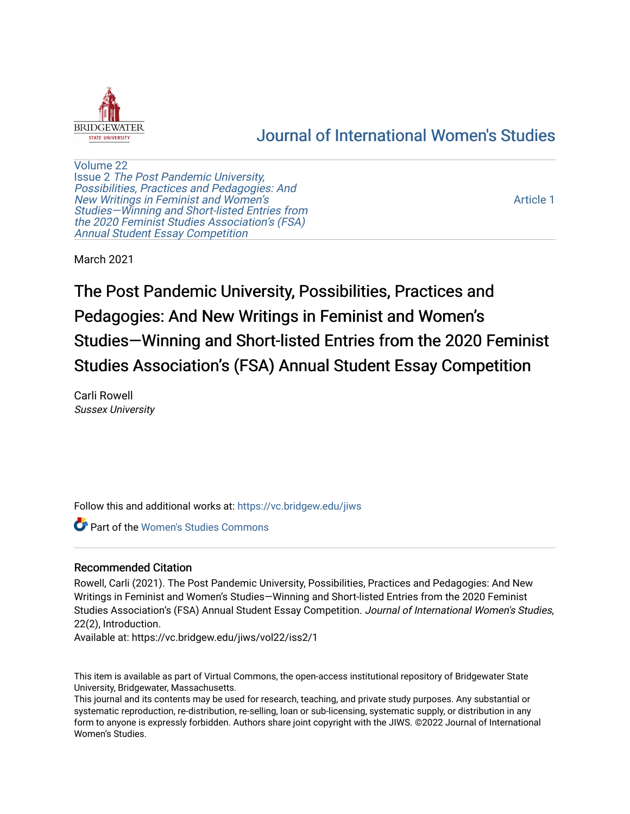

# [Journal of International Women's Studies](https://vc.bridgew.edu/jiws)

[Volume 22](https://vc.bridgew.edu/jiws/vol22) Issue 2 [The Post Pandemic University,](https://vc.bridgew.edu/jiws/vol22/iss2) Possibilities, Practices and Pedagogies: And [New Writings in Feminist and Women's](https://vc.bridgew.edu/jiws/vol22/iss2) [Studies—Winning and Short-listed Entries from](https://vc.bridgew.edu/jiws/vol22/iss2) [the 2020 Feminist Studies Association's \(FSA\)](https://vc.bridgew.edu/jiws/vol22/iss2) [Annual Student Essay Competition](https://vc.bridgew.edu/jiws/vol22/iss2) 

[Article 1](https://vc.bridgew.edu/jiws/vol22/iss2/1) 

March 2021

The Post Pandemic University, Possibilities, Practices and Pedagogies: And New Writings in Feminist and Women's Studies—Winning and Short-listed Entries from the 2020 Feminist Studies Association's (FSA) Annual Student Essay Competition

Carli Rowell Sussex University

Follow this and additional works at: [https://vc.bridgew.edu/jiws](https://vc.bridgew.edu/jiws?utm_source=vc.bridgew.edu%2Fjiws%2Fvol22%2Fiss2%2F1&utm_medium=PDF&utm_campaign=PDFCoverPages)

**C** Part of the Women's Studies Commons

# Recommended Citation

Rowell, Carli (2021). The Post Pandemic University, Possibilities, Practices and Pedagogies: And New Writings in Feminist and Women's Studies—Winning and Short-listed Entries from the 2020 Feminist Studies Association's (FSA) Annual Student Essay Competition. Journal of International Women's Studies, 22(2), Introduction.

Available at: https://vc.bridgew.edu/jiws/vol22/iss2/1

This item is available as part of Virtual Commons, the open-access institutional repository of Bridgewater State University, Bridgewater, Massachusetts.

This journal and its contents may be used for research, teaching, and private study purposes. Any substantial or systematic reproduction, re-distribution, re-selling, loan or sub-licensing, systematic supply, or distribution in any form to anyone is expressly forbidden. Authors share joint copyright with the JIWS. ©2022 Journal of International Women's Studies.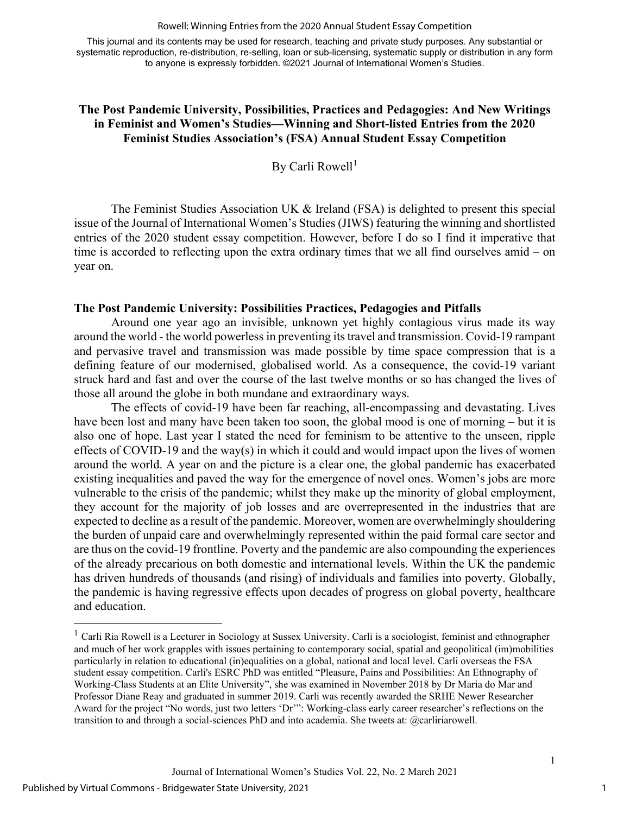#### Rowell: Winning Entries from the 2020 Annual Student Essay Competition

This journal and its contents may be used for research, teaching and private study purposes. Any substantial or systematic reproduction, re-distribution, re-selling, loan or sub-licensing, systematic supply or distribution in any form to anyone is expressly forbidden. ©2021 Journal of International Women's Studies.

# **The Post Pandemic University, Possibilities, Practices and Pedagogies: And New Writings in Feminist and Women's Studies—Winning and Short-listed Entries from the 2020 Feminist Studies Association's (FSA) Annual Student Essay Competition**

By Carli Rowell<sup>[1](#page-1-0)</sup>

The Feminist Studies Association UK & Ireland (FSA) is delighted to present this special issue of the Journal of International Women's Studies (JIWS) featuring the winning and shortlisted entries of the 2020 student essay competition. However, before I do so I find it imperative that time is accorded to reflecting upon the extra ordinary times that we all find ourselves amid – on year on.

#### **The Post Pandemic University: Possibilities Practices, Pedagogies and Pitfalls**

Around one year ago an invisible, unknown yet highly contagious virus made its way around the world - the world powerless in preventing its travel and transmission. Covid-19 rampant and pervasive travel and transmission was made possible by time space compression that is a defining feature of our modernised, globalised world. As a consequence, the covid-19 variant struck hard and fast and over the course of the last twelve months or so has changed the lives of those all around the globe in both mundane and extraordinary ways.

The effects of covid-19 have been far reaching, all-encompassing and devastating. Lives have been lost and many have been taken too soon, the global mood is one of morning – but it is also one of hope. Last year I stated the need for feminism to be attentive to the unseen, ripple effects of COVID-19 and the way(s) in which it could and would impact upon the lives of women around the world. A year on and the picture is a clear one, the global pandemic has exacerbated existing inequalities and paved the way for the emergence of novel ones. Women's jobs are more vulnerable to the crisis of the pandemic; whilst they make up the minority of global employment, they account for the majority of job losses and are overrepresented in the industries that are expected to decline as a result of the pandemic. Moreover, women are overwhelmingly shouldering the burden of unpaid care and overwhelmingly represented within the paid formal care sector and are thus on the covid-19 frontline. Poverty and the pandemic are also compounding the experiences of the already precarious on both domestic and international levels. Within the UK the pandemic has driven hundreds of thousands (and rising) of individuals and families into poverty. Globally, the pandemic is having regressive effects upon decades of progress on global poverty, healthcare and education.

1

<span id="page-1-0"></span><sup>&</sup>lt;sup>1</sup> Carli Ria Rowell is a Lecturer in Sociology at Sussex University. Carli is a sociologist, feminist and ethnographer and much of her work grapples with issues pertaining to contemporary social, spatial and geopolitical (im)mobilities particularly in relation to educational (in)equalities on a global, national and local level. Carli overseas the FSA student essay competition. Carli's ESRC PhD was entitled "Pleasure, Pains and Possibilities: An Ethnography of Working-Class Students at an Elite University", she was examined in November 2018 by Dr Maria do Mar and Professor Diane Reay and graduated in summer 2019. Carli was recently awarded the SRHE Newer Researcher Award for the project "No words, just two letters 'Dr'": Working-class early career researcher's reflections on the transition to and through a social-sciences PhD and into academia. She tweets at: @carliriarowell.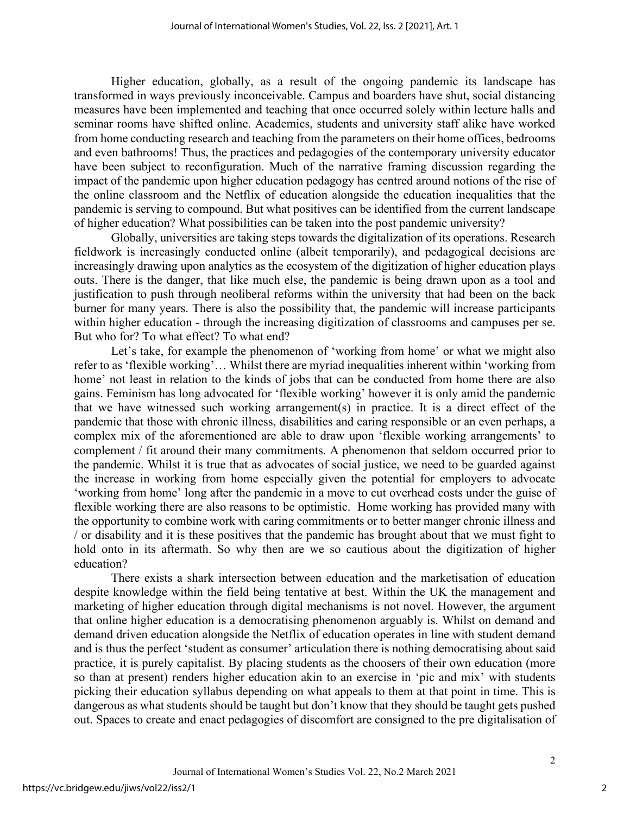Higher education, globally, as a result of the ongoing pandemic its landscape has transformed in ways previously inconceivable. Campus and boarders have shut, social distancing measures have been implemented and teaching that once occurred solely within lecture halls and seminar rooms have shifted online. Academics, students and university staff alike have worked from home conducting research and teaching from the parameters on their home offices, bedrooms and even bathrooms! Thus, the practices and pedagogies of the contemporary university educator have been subject to reconfiguration. Much of the narrative framing discussion regarding the impact of the pandemic upon higher education pedagogy has centred around notions of the rise of the online classroom and the Netflix of education alongside the education inequalities that the pandemic is serving to compound. But what positives can be identified from the current landscape of higher education? What possibilities can be taken into the post pandemic university?

Globally, universities are taking steps towards the digitalization of its operations. Research fieldwork is increasingly conducted online (albeit temporarily), and pedagogical decisions are increasingly drawing upon analytics as the ecosystem of the digitization of higher education plays outs. There is the danger, that like much else, the pandemic is being drawn upon as a tool and justification to push through neoliberal reforms within the university that had been on the back burner for many years. There is also the possibility that, the pandemic will increase participants within higher education - through the increasing digitization of classrooms and campuses per se. But who for? To what effect? To what end?

Let's take, for example the phenomenon of 'working from home' or what we might also refer to as 'flexible working'… Whilst there are myriad inequalities inherent within 'working from home' not least in relation to the kinds of jobs that can be conducted from home there are also gains. Feminism has long advocated for 'flexible working' however it is only amid the pandemic that we have witnessed such working arrangement(s) in practice. It is a direct effect of the pandemic that those with chronic illness, disabilities and caring responsible or an even perhaps, a complex mix of the aforementioned are able to draw upon 'flexible working arrangements' to complement / fit around their many commitments. A phenomenon that seldom occurred prior to the pandemic. Whilst it is true that as advocates of social justice, we need to be guarded against the increase in working from home especially given the potential for employers to advocate 'working from home' long after the pandemic in a move to cut overhead costs under the guise of flexible working there are also reasons to be optimistic. Home working has provided many with the opportunity to combine work with caring commitments or to better manger chronic illness and / or disability and it is these positives that the pandemic has brought about that we must fight to hold onto in its aftermath. So why then are we so cautious about the digitization of higher education?

There exists a shark intersection between education and the marketisation of education despite knowledge within the field being tentative at best. Within the UK the management and marketing of higher education through digital mechanisms is not novel. However, the argument that online higher education is a democratising phenomenon arguably is. Whilst on demand and demand driven education alongside the Netflix of education operates in line with student demand and is thus the perfect 'student as consumer' articulation there is nothing democratising about said practice, it is purely capitalist. By placing students as the choosers of their own education (more so than at present) renders higher education akin to an exercise in 'pic and mix' with students picking their education syllabus depending on what appeals to them at that point in time. This is dangerous as what students should be taught but don't know that they should be taught gets pushed out. Spaces to create and enact pedagogies of discomfort are consigned to the pre digitalisation of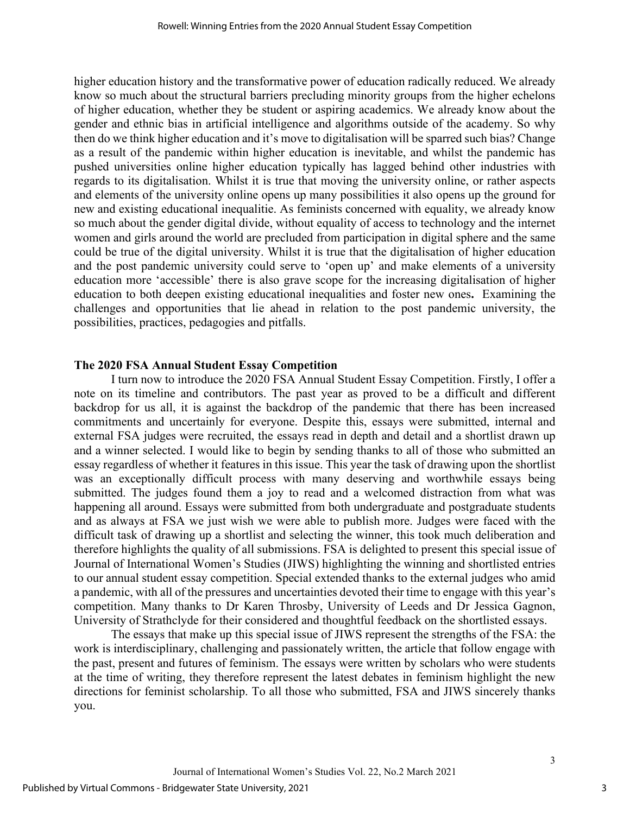higher education history and the transformative power of education radically reduced. We already know so much about the structural barriers precluding minority groups from the higher echelons of higher education, whether they be student or aspiring academics. We already know about the gender and ethnic bias in artificial intelligence and algorithms outside of the academy. So why then do we think higher education and it's move to digitalisation will be sparred such bias? Change as a result of the pandemic within higher education is inevitable, and whilst the pandemic has pushed universities online higher education typically has lagged behind other industries with regards to its digitalisation. Whilst it is true that moving the university online, or rather aspects and elements of the university online opens up many possibilities it also opens up the ground for new and existing educational inequalitie. As feminists concerned with equality, we already know so much about the gender digital divide, without equality of access to technology and the internet women and girls around the world are precluded from participation in digital sphere and the same could be true of the digital university. Whilst it is true that the digitalisation of higher education and the post pandemic university could serve to 'open up' and make elements of a university education more 'accessible' there is also grave scope for the increasing digitalisation of higher education to both deepen existing educational inequalities and foster new ones**.** Examining the challenges and opportunities that lie ahead in relation to the post pandemic university, the possibilities, practices, pedagogies and pitfalls.

### **The 2020 FSA Annual Student Essay Competition**

I turn now to introduce the 2020 FSA Annual Student Essay Competition. Firstly, I offer a note on its timeline and contributors. The past year as proved to be a difficult and different backdrop for us all, it is against the backdrop of the pandemic that there has been increased commitments and uncertainly for everyone. Despite this, essays were submitted, internal and external FSA judges were recruited, the essays read in depth and detail and a shortlist drawn up and a winner selected. I would like to begin by sending thanks to all of those who submitted an essay regardless of whether it features in this issue. This year the task of drawing upon the shortlist was an exceptionally difficult process with many deserving and worthwhile essays being submitted. The judges found them a joy to read and a welcomed distraction from what was happening all around. Essays were submitted from both undergraduate and postgraduate students and as always at FSA we just wish we were able to publish more. Judges were faced with the difficult task of drawing up a shortlist and selecting the winner, this took much deliberation and therefore highlights the quality of all submissions. FSA is delighted to present this special issue of Journal of International Women's Studies (JIWS) highlighting the winning and shortlisted entries to our annual student essay competition. Special extended thanks to the external judges who amid a pandemic, with all of the pressures and uncertainties devoted their time to engage with this year's competition. Many thanks to Dr Karen Throsby, University of Leeds and Dr Jessica Gagnon, University of Strathclyde for their considered and thoughtful feedback on the shortlisted essays.

The essays that make up this special issue of JIWS represent the strengths of the FSA: the work is interdisciplinary, challenging and passionately written, the article that follow engage with the past, present and futures of feminism. The essays were written by scholars who were students at the time of writing, they therefore represent the latest debates in feminism highlight the new directions for feminist scholarship. To all those who submitted, FSA and JIWS sincerely thanks you.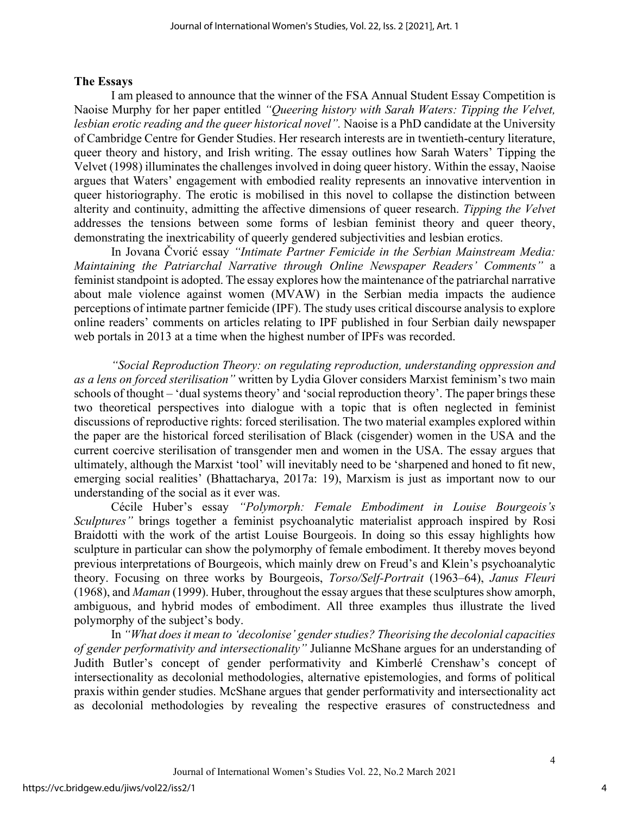#### **The Essays**

I am pleased to announce that the winner of the FSA Annual Student Essay Competition is Naoise Murphy for her paper entitled *"Queering history with Sarah Waters: Tipping the Velvet, lesbian erotic reading and the queer historical novel".* Naoise is a PhD candidate at the University of Cambridge Centre for Gender Studies. Her research interests are in twentieth-century literature, queer theory and history, and Irish writing. The essay outlines how Sarah Waters' Tipping the Velvet (1998) illuminates the challenges involved in doing queer history. Within the essay, Naoise argues that Waters' engagement with embodied reality represents an innovative intervention in queer historiography. The erotic is mobilised in this novel to collapse the distinction between alterity and continuity, admitting the affective dimensions of queer research. *Tipping the Velvet*  addresses the tensions between some forms of lesbian feminist theory and queer theory, demonstrating the inextricability of queerly gendered subjectivities and lesbian erotics.

In Jovana Čvorić essay *"Intimate Partner Femicide in the Serbian Mainstream Media: Maintaining the Patriarchal Narrative through Online Newspaper Readers' Comments"* a feminist standpoint is adopted. The essay explores how the maintenance of the patriarchal narrative about male violence against women (MVAW) in the Serbian media impacts the audience perceptions of intimate partner femicide (IPF). The study uses critical discourse analysis to explore online readers' comments on articles relating to IPF published in four Serbian daily newspaper web portals in 2013 at a time when the highest number of IPFs was recorded.

 *"Social Reproduction Theory: on regulating reproduction, understanding oppression and as a lens on forced sterilisation"* written by Lydia Glover considers Marxist feminism's two main schools of thought – 'dual systems theory' and 'social reproduction theory'. The paper brings these two theoretical perspectives into dialogue with a topic that is often neglected in feminist discussions of reproductive rights: forced sterilisation. The two material examples explored within the paper are the historical forced sterilisation of Black (cisgender) women in the USA and the current coercive sterilisation of transgender men and women in the USA. The essay argues that ultimately, although the Marxist 'tool' will inevitably need to be 'sharpened and honed to fit new, emerging social realities' (Bhattacharya, 2017a: 19), Marxism is just as important now to our understanding of the social as it ever was.

Cécile Huber's essay *"Polymorph: Female Embodiment in Louise Bourgeois's Sculptures"* brings together a feminist psychoanalytic materialist approach inspired by Rosi Braidotti with the work of the artist Louise Bourgeois. In doing so this essay highlights how sculpture in particular can show the polymorphy of female embodiment. It thereby moves beyond previous interpretations of Bourgeois, which mainly drew on Freud's and Klein's psychoanalytic theory. Focusing on three works by Bourgeois, *Torso/Self-Portrait* (1963–64), *Janus Fleuri* (1968), and *Maman* (1999). Huber, throughout the essay argues that these sculptures show amorph, ambiguous, and hybrid modes of embodiment. All three examples thus illustrate the lived polymorphy of the subject's body.

In *"What does it mean to 'decolonise' gender studies? Theorising the decolonial capacities of gender performativity and intersectionality"* Julianne McShane argues for an understanding of Judith Butler's concept of gender performativity and Kimberlé Crenshaw's concept of intersectionality as decolonial methodologies, alternative epistemologies, and forms of political praxis within gender studies. McShane argues that gender performativity and intersectionality act as decolonial methodologies by revealing the respective erasures of constructedness and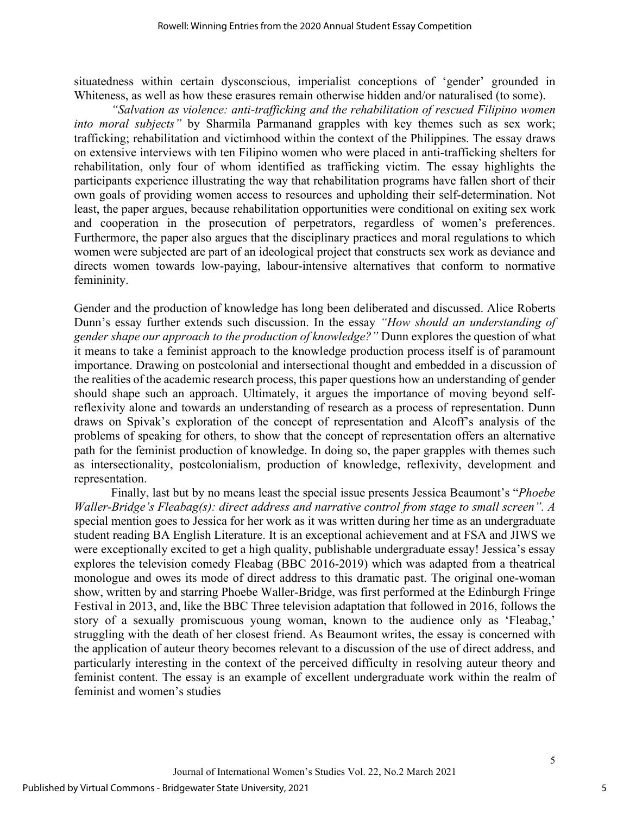situatedness within certain dysconscious, imperialist conceptions of 'gender' grounded in Whiteness, as well as how these erasures remain otherwise hidden and/or naturalised (to some).

*"Salvation as violence: anti-trafficking and the rehabilitation of rescued Filipino women into moral subjects"* by Sharmila Parmanand grapples with key themes such as sex work; trafficking; rehabilitation and victimhood within the context of the Philippines. The essay draws on extensive interviews with ten Filipino women who were placed in anti-trafficking shelters for rehabilitation, only four of whom identified as trafficking victim. The essay highlights the participants experience illustrating the way that rehabilitation programs have fallen short of their own goals of providing women access to resources and upholding their self-determination. Not least, the paper argues, because rehabilitation opportunities were conditional on exiting sex work and cooperation in the prosecution of perpetrators, regardless of women's preferences. Furthermore, the paper also argues that the disciplinary practices and moral regulations to which women were subjected are part of an ideological project that constructs sex work as deviance and directs women towards low-paying, labour-intensive alternatives that conform to normative femininity.

Gender and the production of knowledge has long been deliberated and discussed. Alice Roberts Dunn's essay further extends such discussion. In the essay *"How should an understanding of gender shape our approach to the production of knowledge?"* Dunn explores the question of what it means to take a feminist approach to the knowledge production process itself is of paramount importance. Drawing on postcolonial and intersectional thought and embedded in a discussion of the realities of the academic research process, this paper questions how an understanding of gender should shape such an approach. Ultimately, it argues the importance of moving beyond selfreflexivity alone and towards an understanding of research as a process of representation. Dunn draws on Spivak's exploration of the concept of representation and Alcoff's analysis of the problems of speaking for others, to show that the concept of representation offers an alternative path for the feminist production of knowledge. In doing so, the paper grapples with themes such as intersectionality, postcolonialism, production of knowledge, reflexivity, development and representation.

Finally, last but by no means least the special issue presents Jessica Beaumont's "*Phoebe Waller-Bridge's Fleabag(s): direct address and narrative control from stage to small screen". A*  special mention goes to Jessica for her work as it was written during her time as an undergraduate student reading BA English Literature. It is an exceptional achievement and at FSA and JIWS we were exceptionally excited to get a high quality, publishable undergraduate essay! Jessica's essay explores the television comedy Fleabag (BBC 2016-2019) which was adapted from a theatrical monologue and owes its mode of direct address to this dramatic past. The original one-woman show, written by and starring Phoebe Waller-Bridge, was first performed at the Edinburgh Fringe Festival in 2013, and, like the BBC Three television adaptation that followed in 2016, follows the story of a sexually promiscuous young woman, known to the audience only as 'Fleabag,' struggling with the death of her closest friend. As Beaumont writes, the essay is concerned with the application of auteur theory becomes relevant to a discussion of the use of direct address, and particularly interesting in the context of the perceived difficulty in resolving auteur theory and feminist content. The essay is an example of excellent undergraduate work within the realm of feminist and women's studies